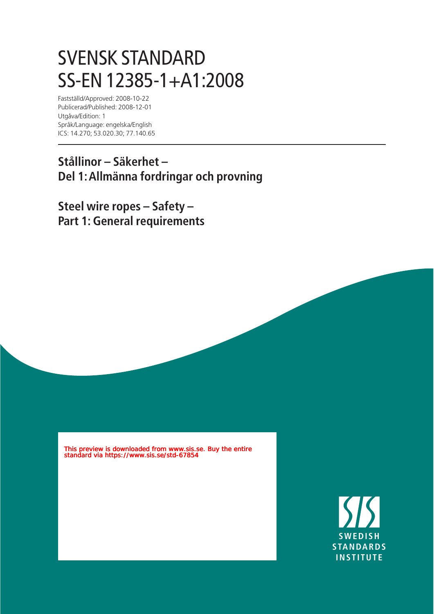# SVENSK STANDARD SS-EN 12385-1+A1:2008

Fastställd/Approved: 2008-10-22 Publicerad/Published: 2008-12-01 Utgåva/Edition: 1 Språk/Language: engelska/English ICS: 14.270; 53.020.30; 77.140.65

# **Stållinor – Säkerhet – Del 1: Allmänna fordringar och provning**

**Steel wire ropes – Safety – Part 1: General requirements**

This preview is downloaded from www.sis.se. Buy the entire standard via https://www.sis.se/std-67854

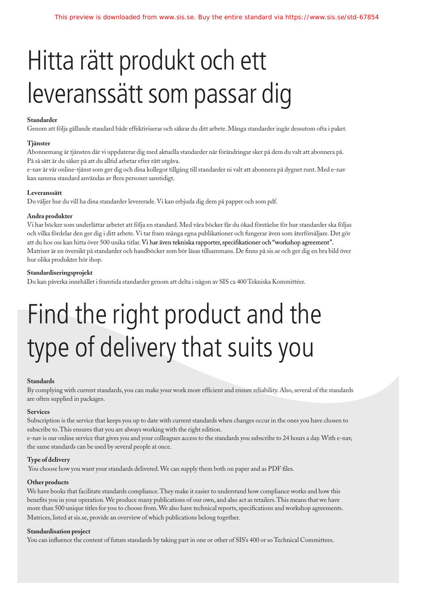# Hitta rätt produkt och ett leveranssätt som passar dig

### **Standarder**

Genom att följa gällande standard både effektiviserar och säkrar du ditt arbete. Många standarder ingår dessutom ofta i paket.

#### **Tjänster**

Abonnemang är tjänsten där vi uppdaterar dig med aktuella standarder när förändringar sker på dem du valt att abonnera på. På så sätt är du säker på att du alltid arbetar efter rätt utgåva.

e-nav är vår online-tjänst som ger dig och dina kollegor tillgång till standarder ni valt att abonnera på dygnet runt. Med e-nav kan samma standard användas av flera personer samtidigt.

#### **Leveranssätt**

Du väljer hur du vill ha dina standarder levererade. Vi kan erbjuda dig dem på papper och som pdf.

#### **Andra produkter**

Vi har böcker som underlättar arbetet att följa en standard. Med våra böcker får du ökad förståelse för hur standarder ska följas och vilka fördelar den ger dig i ditt arbete. Vi tar fram många egna publikationer och fungerar även som återförsäljare. Det gör att du hos oss kan hitta över 500 unika titlar. Vi har även tekniska rapporter, specifikationer och "workshop agreement". Matriser är en översikt på standarder och handböcker som bör läsas tillsammans. De finns på sis.se och ger dig en bra bild över hur olika produkter hör ihop.

#### **Standardiseringsprojekt**

Du kan påverka innehållet i framtida standarder genom att delta i någon av SIS ca 400 Tekniska Kommittéer.

# Find the right product and the type of delivery that suits you

#### **Standards**

By complying with current standards, you can make your work more efficient and ensure reliability. Also, several of the standards are often supplied in packages.

#### **Services**

Subscription is the service that keeps you up to date with current standards when changes occur in the ones you have chosen to subscribe to. This ensures that you are always working with the right edition.

e-nav is our online service that gives you and your colleagues access to the standards you subscribe to 24 hours a day. With e-nav, the same standards can be used by several people at once.

#### **Type of delivery**

You choose how you want your standards delivered. We can supply them both on paper and as PDF files.

#### **Other products**

We have books that facilitate standards compliance. They make it easier to understand how compliance works and how this benefits you in your operation. We produce many publications of our own, and also act as retailers. This means that we have more than 500 unique titles for you to choose from. We also have technical reports, specifications and workshop agreements. Matrices, listed at sis.se, provide an overview of which publications belong together.

### **Standardisation project**

You can influence the content of future standards by taking part in one or other of SIS's 400 or so Technical Committees.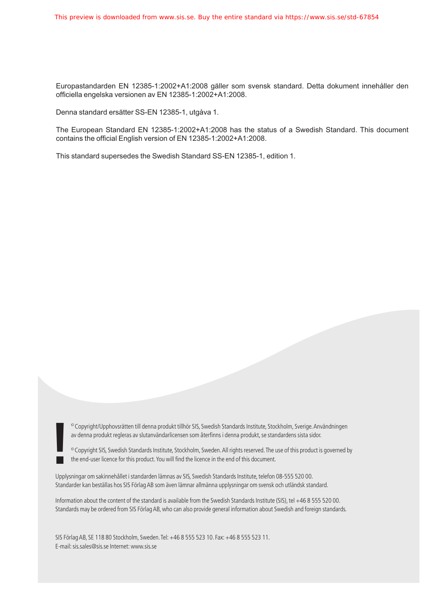Europastandarden EN 12385-1:2002+A1:2008 gäller som svensk standard. Detta dokument innehåller den officiella engelska versionen av EN 12385-1:2002+A1:2008.

Denna standard ersätter SS-EN 12385-1, utgåva 1.

The European Standard EN 12385-1:2002+A1:2008 has the status of a Swedish Standard. This document contains the official English version of EN 12385-1:2002+A1:2008.

This standard supersedes the Swedish Standard SS-EN 12385-1, edition 1.

av denna produkt regleras av slutanvändarlicensen som återfinns i denna produkt, se standardens sista sidor.

<sup>©</sup> Copyright/Upphovsrätten till denna produkt tillhör SIS, Swedish Standards Institute, Stockholm, Sverige. Användningen<br>av denna produkt regleras av slutanvändarlicensen som återfinns i denna produkt, se standardens sis

Upplysningar om sakinnehållet i standarden lämnas av SIS, Swedish Standards Institute, telefon 08-555 520 00. Standarder kan beställas hos SIS Förlag AB som även lämnar allmänna upplysningar om svensk och utländsk standard.

Information about the content of the standard is available from the Swedish Standards Institute (SIS), tel +46 8 555 520 00. Standards may be ordered from SIS Förlag AB, who can also provide general information about Swedish and foreign standards.

SIS Förlag AB, SE 118 80 Stockholm, Sweden. Tel: +46 8 555 523 10. Fax: +46 8 555 523 11. E-mail: sis.sales@sis.se Internet: www.sis.se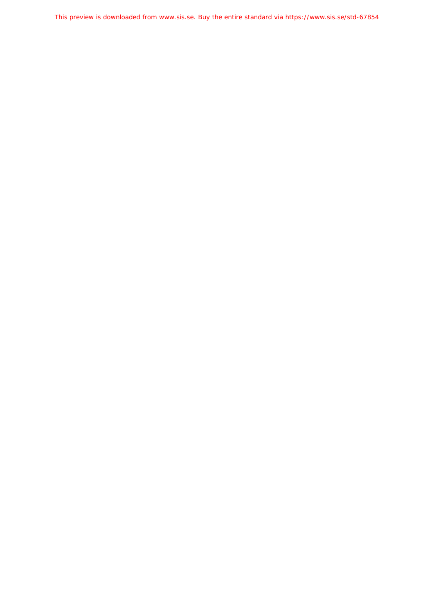This preview is downloaded from www.sis.se. Buy the entire standard via https://www.sis.se/std-67854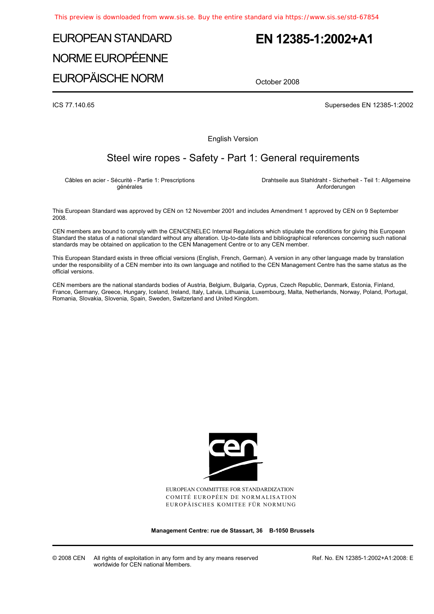# EUROPEAN STANDARD NORME EUROPÉENNE EUROPÄISCHE NORM

# **EN 12385-1:2002+A1**

October 2008

ICS 77.140.65 Supersedes EN 12385-1:2002

English Version

# Steel wire ropes - Safety - Part 1: General requirements

Câbles en acier - Sécurité - Partie 1: Prescriptions générales

 Drahtseile aus Stahldraht - Sicherheit - Teil 1: Allgemeine Anforderungen

This European Standard was approved by CEN on 12 November 2001 and includes Amendment 1 approved by CEN on 9 September 2008.

CEN members are bound to comply with the CEN/CENELEC Internal Regulations which stipulate the conditions for giving this European Standard the status of a national standard without any alteration. Up-to-date lists and bibliographical references concerning such national standards may be obtained on application to the CEN Management Centre or to any CEN member.

This European Standard exists in three official versions (English, French, German). A version in any other language made by translation under the responsibility of a CEN member into its own language and notified to the CEN Management Centre has the same status as the official versions.

CEN members are the national standards bodies of Austria, Belgium, Bulgaria, Cyprus, Czech Republic, Denmark, Estonia, Finland, France, Germany, Greece, Hungary, Iceland, Ireland, Italy, Latvia, Lithuania, Luxembourg, Malta, Netherlands, Norway, Poland, Portugal, Romania, Slovakia, Slovenia, Spain, Sweden, Switzerland and United Kingdom.



EUROPEAN COMMITTEE FOR STANDARDIZATION COMITÉ EUROPÉEN DE NORMALISATION EUROPÄISCHES KOMITEE FÜR NORMUNG

**Management Centre: rue de Stassart, 36 B-1050 Brussels** 

© 2008 CEN All rights of exploitation in any form and by any means reserved worldwide for CEN national Members.

Ref. No. EN 12385-1:2002+A1:2008: E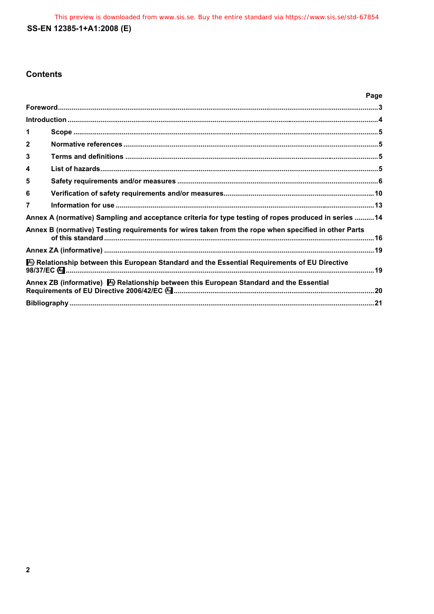# **Contents**

|                  |                                                                                                                                                                                                                                                                                                                                                                                           | Page |
|------------------|-------------------------------------------------------------------------------------------------------------------------------------------------------------------------------------------------------------------------------------------------------------------------------------------------------------------------------------------------------------------------------------------|------|
|                  | $\textbf{For} \textbf{word} \textit{} \textit{} \textit{} \textit{} \textit{} \textit{} \textit{} \textit{} \textit{} \textit{} \textit{} \textit{} \textit{} \textit{} \textit{} \textit{} \textit{} \textit{} \textit{} \textit{} \textit{} \textit{} \textit{} \textit{} \textit{} \textit{} \textit{} \textit{} \textit{} \textit{} \textit{} \textit{} \textit{} \textit{} \textit{$ |      |
|                  |                                                                                                                                                                                                                                                                                                                                                                                           |      |
| 1                |                                                                                                                                                                                                                                                                                                                                                                                           |      |
| $\mathbf{2}$     |                                                                                                                                                                                                                                                                                                                                                                                           |      |
| 3                |                                                                                                                                                                                                                                                                                                                                                                                           |      |
| $\boldsymbol{4}$ |                                                                                                                                                                                                                                                                                                                                                                                           |      |
| 5                |                                                                                                                                                                                                                                                                                                                                                                                           |      |
| 6                |                                                                                                                                                                                                                                                                                                                                                                                           |      |
| 7                |                                                                                                                                                                                                                                                                                                                                                                                           |      |
|                  | Annex A (normative) Sampling and acceptance criteria for type testing of ropes produced in series  14                                                                                                                                                                                                                                                                                     |      |
|                  | Annex B (normative) Testing requirements for wires taken from the rope when specified in other Parts                                                                                                                                                                                                                                                                                      |      |
|                  |                                                                                                                                                                                                                                                                                                                                                                                           |      |
|                  | My Relationship between this European Standard and the Essential Requirements of EU Directive                                                                                                                                                                                                                                                                                             |      |
|                  | Annex ZB (informative) M Relationship between this European Standard and the Essential                                                                                                                                                                                                                                                                                                    |      |
|                  |                                                                                                                                                                                                                                                                                                                                                                                           |      |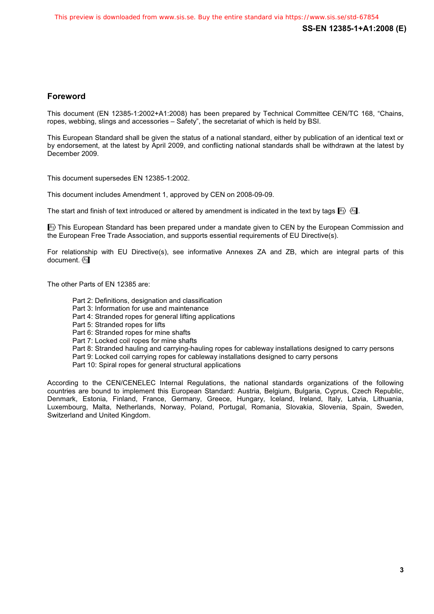# **Foreword**

This document (EN 12385-1:2002+A1:2008) has been prepared by Technical Committee CEN/TC 168, "Chains, ropes, webbing, slings and accessories – Safety", the secretariat of which is held by BSI.

This European Standard shall be given the status of a national standard, either by publication of an identical text or by endorsement, at the latest by April 2009, and conflicting national standards shall be withdrawn at the latest by December 2009.

This document supersedes EN 12385-1:2002.

This document includes Amendment 1, approved by CEN on 2008-09-09.

The start and finish of text introduced or altered by amendment is indicated in the text by tags  $\mathbb{F}_1$ .  $\mathbb{F}_1$ .

 $\mathbb{A}$ ) This European Standard has been prepared under a mandate given to CEN by the European Commission and the European Free Trade Association, and supports essential requirements of EU Directive(s).

For relationship with EU Directive(s), see informative Annexes ZA and ZB, which are integral parts of this document. (41

The other Parts of EN 12385 are:

- Part 2: Definitions, designation and classification
- Part 3: Information for use and maintenance
- Part 4: Stranded ropes for general lifting applications
- Part 5: Stranded ropes for lifts
- Part 6: Stranded ropes for mine shafts
- Part 7: Locked coil ropes for mine shafts
- Part 8: Stranded hauling and carrying-hauling ropes for cableway installations designed to carry persons
- Part 9: Locked coil carrying ropes for cableway installations designed to carry persons
- Part 10: Spiral ropes for general structural applications

According to the CEN/CENELEC Internal Regulations, the national standards organizations of the following countries are bound to implement this European Standard: Austria, Belgium, Bulgaria, Cyprus, Czech Republic, Denmark, Estonia, Finland, France, Germany, Greece, Hungary, Iceland, Ireland, Italy, Latvia, Lithuania, Luxembourg, Malta, Netherlands, Norway, Poland, Portugal, Romania, Slovakia, Slovenia, Spain, Sweden, Switzerland and United Kingdom.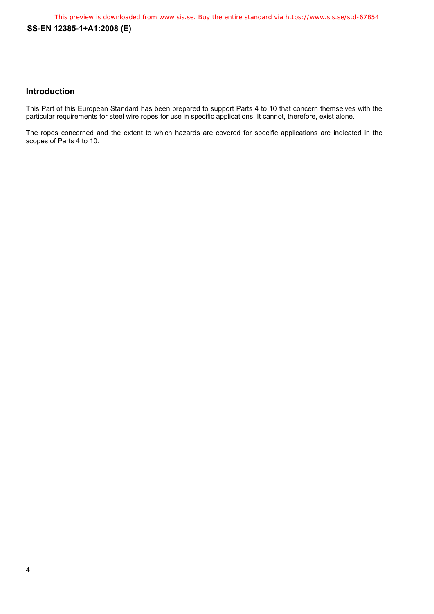# **Introduction**

This Part of this European Standard has been prepared to support Parts 4 to 10 that concern themselves with the particular requirements for steel wire ropes for use in specific applications. It cannot, therefore, exist alone.

The ropes concerned and the extent to which hazards are covered for specific applications are indicated in the scopes of Parts 4 to 10.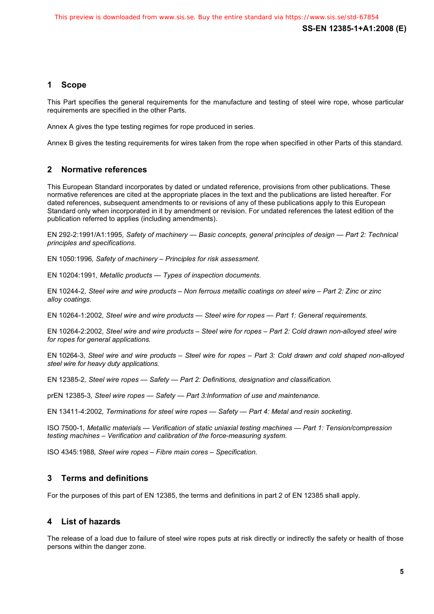# **1 Scope**

This Part specifies the general requirements for the manufacture and testing of steel wire rope, whose particular requirements are specified in the other Parts.

Annex A gives the type testing regimes for rope produced in series.

Annex B gives the testing requirements for wires taken from the rope when specified in other Parts of this standard.

# **2 Normative references**

This European Standard incorporates by dated or undated reference, provisions from other publications. These normative references are cited at the appropriate places in the text and the publications are listed hereafter. For dated references, subsequent amendments to or revisions of any of these publications apply to this European Standard only when incorporated in it by amendment or revision. For undated references the latest edition of the publication referred to applies (including amendments).

EN 292-2:1991/A1:1995*, Safety of machinery — Basic concepts, general principles of design — Part 2: Technical principles and specifications.* 

EN 1050:1996*, Safety of machinery – Principles for risk assessment.* 

EN 10204:1991*, Metallic products — Types of inspection documents.* 

EN 10244-2*, Steel wire and wire products – Non ferrous metallic coatings on steel wire – Part 2: Zinc or zinc alloy coatings.* 

EN 10264-1:2002*, Steel wire and wire products — Steel wire for ropes — Part 1: General requirements.* 

EN 10264-2:2002, *Steel wire and wire products – Steel wire for ropes – Part 2: Cold drawn non-alloyed steel wire for ropes for general applications.* 

EN 10264-3, *Steel wire and wire products – Steel wire for ropes – Part 3: Cold drawn and cold shaped non-alloyed steel wire for heavy duty applications.* 

EN 12385-2*, Steel wire ropes — Safety — Part 2: Definitions, designation and classification.* 

prEN 12385-3*, Steel wire ropes — Safety — Part 3:Information of use and maintenance.* 

EN 13411-4:2002*, Terminations for steel wire ropes — Safety — Part 4: Metal and resin socketing.* 

ISO 7500-1*, Metallic materials — Verification of static uniaxial testing machines — Part 1: Tension/compression testing machines – Verification and calibration of the force-measuring system.* 

ISO 4345:1988*, Steel wire ropes – Fibre main cores – Specification.* 

# **3 Terms and definitions**

For the purposes of this part of EN 12385, the terms and definitions in part 2 of EN 12385 shall apply.

# **4 List of hazards**

The release of a load due to failure of steel wire ropes puts at risk directly or indirectly the safety or health of those persons within the danger zone.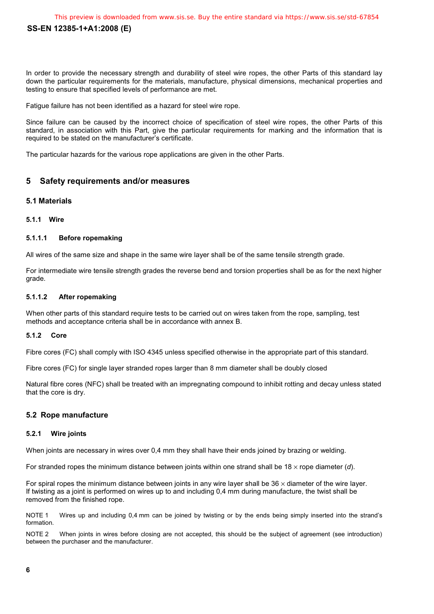# **SS-EN 12385-1+A1:2008 (E)**

In order to provide the necessary strength and durability of steel wire ropes, the other Parts of this standard lay down the particular requirements for the materials, manufacture, physical dimensions, mechanical properties and testing to ensure that specified levels of performance are met.

Fatigue failure has not been identified as a hazard for steel wire rope.

Since failure can be caused by the incorrect choice of specification of steel wire ropes, the other Parts of this standard, in association with this Part, give the particular requirements for marking and the information that is required to be stated on the manufacturer's certificate.

The particular hazards for the various rope applications are given in the other Parts.

# **5 Safety requirements and/or measures**

# **5.1 Materials**

## **5.1.1 Wire**

## **5.1.1.1 Before ropemaking**

All wires of the same size and shape in the same wire layer shall be of the same tensile strength grade.

For intermediate wire tensile strength grades the reverse bend and torsion properties shall be as for the next higher grade.

## **5.1.1.2 After ropemaking**

When other parts of this standard require tests to be carried out on wires taken from the rope, sampling, test methods and acceptance criteria shall be in accordance with annex B.

### **5.1.2 Core**

Fibre cores (FC) shall comply with ISO 4345 unless specified otherwise in the appropriate part of this standard.

Fibre cores (FC) for single layer stranded ropes larger than 8 mm diameter shall be doubly closed

Natural fibre cores (NFC) shall be treated with an impregnating compound to inhibit rotting and decay unless stated that the core is dry.

# **5.2 Rope manufacture**

## **5.2.1 Wire joints**

When joints are necessary in wires over 0,4 mm they shall have their ends joined by brazing or welding.

For stranded ropes the minimum distance between joints within one strand shall be  $18 \times$  rope diameter (*d*).

For spiral ropes the minimum distance between joints in any wire layer shall be  $36 \times$  diameter of the wire layer. If twisting as a joint is performed on wires up to and including 0,4 mm during manufacture, the twist shall be removed from the finished rope.

NOTE 1 Wires up and including 0,4 mm can be joined by twisting or by the ends being simply inserted into the strand's formation.

NOTE 2 When joints in wires before closing are not accepted, this should be the subject of agreement (see introduction) between the purchaser and the manufacturer.